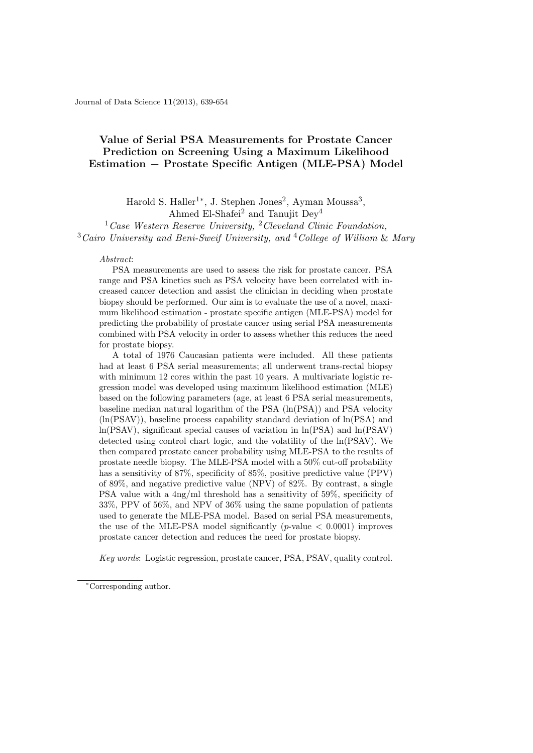Journal of Data Science 11(2013), 639-654

# Value of Serial PSA Measurements for Prostate Cancer Prediction on Screening Using a Maximum Likelihood Estimation − Prostate Specific Antigen (MLE-PSA) Model

Harold S. Haller<sup>1\*</sup>, J. Stephen Jones<sup>2</sup>, Ayman Moussa<sup>3</sup>, Ahmed El-Shafei<sup>2</sup> and Tanujit  $Dev<sup>4</sup>$ 

 $1 Case$  Western Reserve University,  $2$  Cleveland Clinic Foundation,  $3\text{ C}$ airo University and Beni-Sweif University, and  $4\text{ College of William }\&\text{ Mary}$ 

#### Abstract:

PSA measurements are used to assess the risk for prostate cancer. PSA range and PSA kinetics such as PSA velocity have been correlated with increased cancer detection and assist the clinician in deciding when prostate biopsy should be performed. Our aim is to evaluate the use of a novel, maximum likelihood estimation - prostate specific antigen (MLE-PSA) model for predicting the probability of prostate cancer using serial PSA measurements combined with PSA velocity in order to assess whether this reduces the need for prostate biopsy.

A total of 1976 Caucasian patients were included. All these patients had at least 6 PSA serial measurements; all underwent trans-rectal biopsy with minimum 12 cores within the past 10 years. A multivariate logistic regression model was developed using maximum likelihood estimation (MLE) based on the following parameters (age, at least 6 PSA serial measurements, baseline median natural logarithm of the PSA (ln(PSA)) and PSA velocity  $(ln(PSAV))$ , baseline process capability standard deviation of  $ln(PSA)$  and ln(PSAV), significant special causes of variation in ln(PSA) and ln(PSAV) detected using control chart logic, and the volatility of the ln(PSAV). We then compared prostate cancer probability using MLE-PSA to the results of prostate needle biopsy. The MLE-PSA model with a 50% cut-off probability has a sensitivity of 87%, specificity of 85%, positive predictive value (PPV) of 89%, and negative predictive value (NPV) of 82%. By contrast, a single PSA value with a 4ng/ml threshold has a sensitivity of 59%, specificity of 33%, PPV of 56%, and NPV of 36% using the same population of patients used to generate the MLE-PSA model. Based on serial PSA measurements, the use of the MLE-PSA model significantly (*p*-value  $\lt$  0.0001) improves prostate cancer detection and reduces the need for prostate biopsy.

Key words: Logistic regression, prostate cancer, PSA, PSAV, quality control.

<sup>∗</sup>Corresponding author.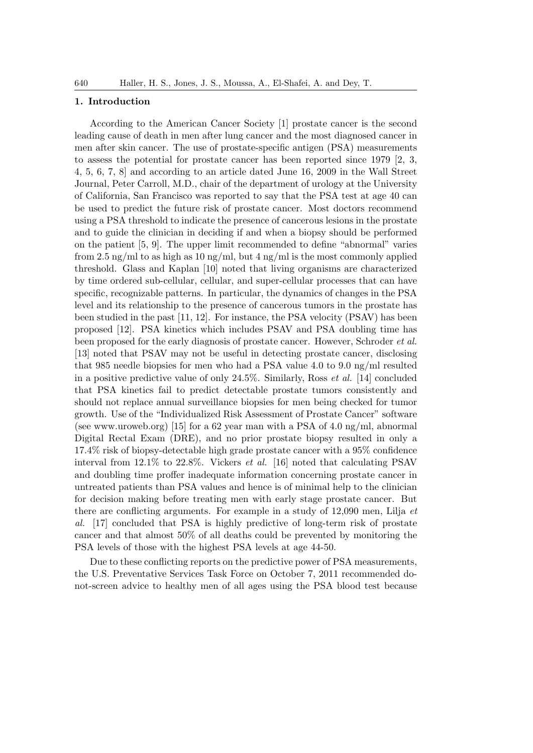## 1. Introduction

According to the American Cancer Society [1] prostate cancer is the second leading cause of death in men after lung cancer and the most diagnosed cancer in men after skin cancer. The use of prostate-specific antigen (PSA) measurements to assess the potential for prostate cancer has been reported since 1979 [2, 3, 4, 5, 6, 7, 8] and according to an article dated June 16, 2009 in the Wall Street Journal, Peter Carroll, M.D., chair of the department of urology at the University of California, San Francisco was reported to say that the PSA test at age 40 can be used to predict the future risk of prostate cancer. Most doctors recommend using a PSA threshold to indicate the presence of cancerous lesions in the prostate and to guide the clinician in deciding if and when a biopsy should be performed on the patient [5, 9]. The upper limit recommended to define "abnormal" varies from 2.5 ng/ml to as high as 10 ng/ml, but 4 ng/ml is the most commonly applied threshold. Glass and Kaplan [10] noted that living organisms are characterized by time ordered sub-cellular, cellular, and super-cellular processes that can have specific, recognizable patterns. In particular, the dynamics of changes in the PSA level and its relationship to the presence of cancerous tumors in the prostate has been studied in the past [11, 12]. For instance, the PSA velocity (PSAV) has been proposed [12]. PSA kinetics which includes PSAV and PSA doubling time has been proposed for the early diagnosis of prostate cancer. However, Schroder et al. [13] noted that PSAV may not be useful in detecting prostate cancer, disclosing that 985 needle biopsies for men who had a PSA value 4.0 to 9.0 ng/ml resulted in a positive predictive value of only 24.5%. Similarly, Ross et al. [14] concluded that PSA kinetics fail to predict detectable prostate tumors consistently and should not replace annual surveillance biopsies for men being checked for tumor growth. Use of the "Individualized Risk Assessment of Prostate Cancer" software (see www.uroweb.org) [15] for a 62 year man with a PSA of 4.0 ng/ml, abnormal Digital Rectal Exam (DRE), and no prior prostate biopsy resulted in only a 17.4% risk of biopsy-detectable high grade prostate cancer with a 95% confidence interval from 12.1% to 22.8%. Vickers et al. [16] noted that calculating PSAV and doubling time proffer inadequate information concerning prostate cancer in untreated patients than PSA values and hence is of minimal help to the clinician for decision making before treating men with early stage prostate cancer. But there are conflicting arguments. For example in a study of 12,090 men, Lilja et al. [17] concluded that PSA is highly predictive of long-term risk of prostate cancer and that almost 50% of all deaths could be prevented by monitoring the PSA levels of those with the highest PSA levels at age 44-50.

Due to these conflicting reports on the predictive power of PSA measurements, the U.S. Preventative Services Task Force on October 7, 2011 recommended donot-screen advice to healthy men of all ages using the PSA blood test because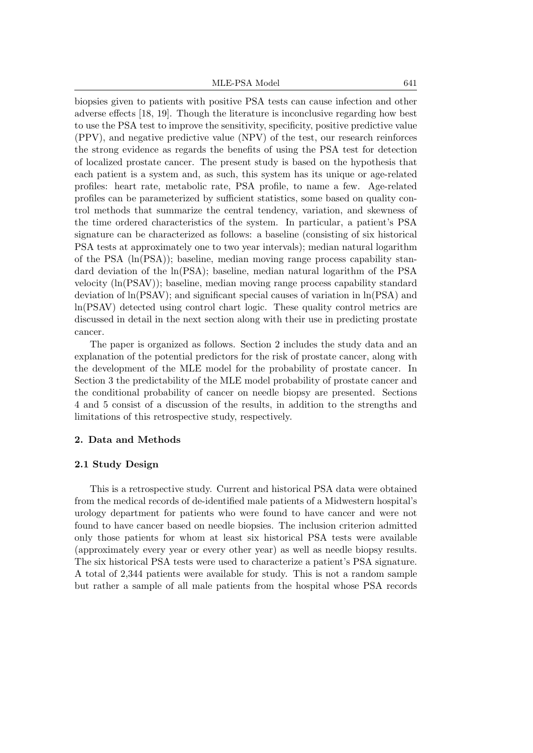MLE-PSA Model 641

biopsies given to patients with positive PSA tests can cause infection and other adverse effects [18, 19]. Though the literature is inconclusive regarding how best to use the PSA test to improve the sensitivity, specificity, positive predictive value (PPV), and negative predictive value (NPV) of the test, our research reinforces the strong evidence as regards the benefits of using the PSA test for detection of localized prostate cancer. The present study is based on the hypothesis that each patient is a system and, as such, this system has its unique or age-related profiles: heart rate, metabolic rate, PSA profile, to name a few. Age-related profiles can be parameterized by sufficient statistics, some based on quality control methods that summarize the central tendency, variation, and skewness of the time ordered characteristics of the system. In particular, a patient's PSA signature can be characterized as follows: a baseline (consisting of six historical PSA tests at approximately one to two year intervals); median natural logarithm of the PSA  $(\text{ln}(PSA))$ ; baseline, median moving range process capability standard deviation of the ln(PSA); baseline, median natural logarithm of the PSA velocity (ln(PSAV)); baseline, median moving range process capability standard deviation of ln(PSAV); and significant special causes of variation in ln(PSA) and ln(PSAV) detected using control chart logic. These quality control metrics are discussed in detail in the next section along with their use in predicting prostate cancer.

The paper is organized as follows. Section 2 includes the study data and an explanation of the potential predictors for the risk of prostate cancer, along with the development of the MLE model for the probability of prostate cancer. In Section 3 the predictability of the MLE model probability of prostate cancer and the conditional probability of cancer on needle biopsy are presented. Sections 4 and 5 consist of a discussion of the results, in addition to the strengths and limitations of this retrospective study, respectively.

## 2. Data and Methods

## 2.1 Study Design

This is a retrospective study. Current and historical PSA data were obtained from the medical records of de-identified male patients of a Midwestern hospital's urology department for patients who were found to have cancer and were not found to have cancer based on needle biopsies. The inclusion criterion admitted only those patients for whom at least six historical PSA tests were available (approximately every year or every other year) as well as needle biopsy results. The six historical PSA tests were used to characterize a patient's PSA signature. A total of 2,344 patients were available for study. This is not a random sample but rather a sample of all male patients from the hospital whose PSA records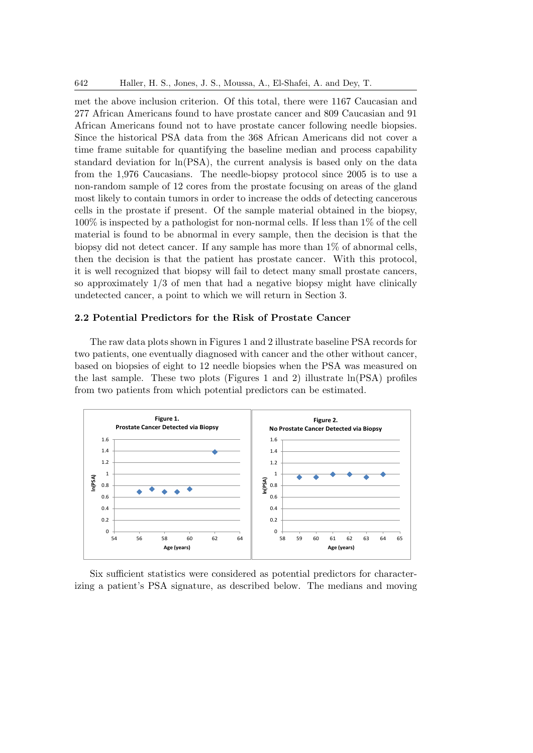met the above inclusion criterion. Of this total, there were 1167 Caucasian and 277 African Americans found to have prostate cancer and 809 Caucasian and 91 African Americans found not to have prostate cancer following needle biopsies. Since the historical PSA data from the 368 African Americans did not cover a time frame suitable for quantifying the baseline median and process capability standard deviation for ln(PSA), the current analysis is based only on the data from the 1,976 Caucasians. The needle-biopsy protocol since 2005 is to use a non-random sample of 12 cores from the prostate focusing on areas of the gland most likely to contain tumors in order to increase the odds of detecting cancerous cells in the prostate if present. Of the sample material obtained in the biopsy,  $100\%$  is inspected by a pathologist for non-normal cells. If less than 1% of the cell material is found to be abnormal in every sample, then the decision is that the biopsy did not detect cancer. If any sample has more than 1% of abnormal cells, then the decision is that the patient has prostate cancer. With this protocol, it is well recognized that biopsy will fail to detect many small prostate cancers, so approximately  $1/3$  of men that had a negative biopsy might have clinically undetected cancer, a point to which we will return in Section 3.

# 2.2 Potential Predictors for the Risk of Prostate Cancer

The raw data plots shown in Figures 1 and 2 illustrate baseline PSA records for two patients, one eventually diagnosed with cancer and the other without cancer, based on biopsies of eight to  $12$  needle biopsies when the PSA was measured on the last sample. These two plots (Figures 1 and 2) illustrate ln(PSA) profiles from two patients from which potential predictors can be estimated.



izing a patient's PSA signature, as described below. The medians and moving Six sufficient statistics were considered as potential predictors for character-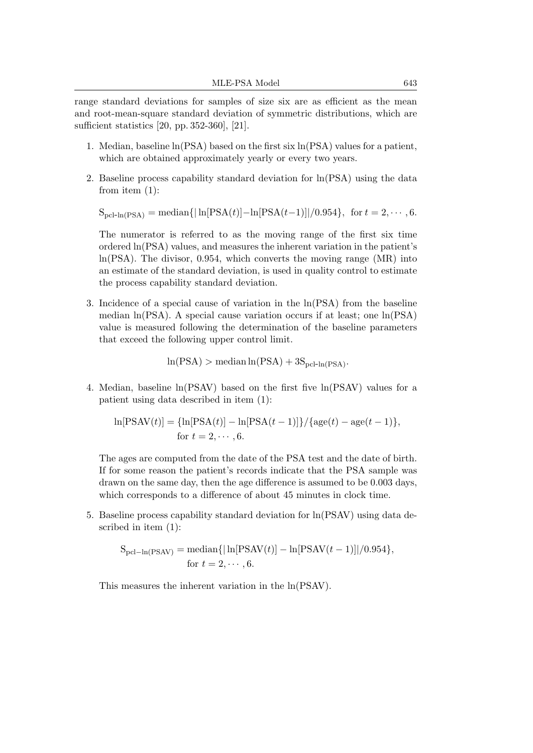range standard deviations for samples of size six are as efficient as the mean and root-mean-square standard deviation of symmetric distributions, which are sufficient statistics [20, pp. 352-360], [21].

- 1. Median, baseline ln(PSA) based on the first six ln(PSA) values for a patient, which are obtained approximately yearly or every two years.
- 2. Baseline process capability standard deviation for ln(PSA) using the data from item (1):

 $S_{\text{pcl-In(PSA)}} = \text{median}\{|\ln[\text{PSA}(t)] - \ln[\text{PSA}(t-1)]|/0.954\},\text{ for } t = 2, \cdots, 6.$ 

The numerator is referred to as the moving range of the first six time ordered ln(PSA) values, and measures the inherent variation in the patient's ln(PSA). The divisor, 0.954, which converts the moving range (MR) into an estimate of the standard deviation, is used in quality control to estimate the process capability standard deviation.

3. Incidence of a special cause of variation in the ln(PSA) from the baseline median ln(PSA). A special cause variation occurs if at least; one ln(PSA) value is measured following the determination of the baseline parameters that exceed the following upper control limit.

 $ln(PSA) > median ln(PSA) + 3S_{pcl-In(PSA)}$ .

4. Median, baseline ln(PSAV) based on the first five ln(PSAV) values for a patient using data described in item (1):

$$
\ln[\text{PSAV}(t)] = {\ln[\text{PSA}(t)] - \ln[\text{PSA}(t-1)]}/\{\text{age}(t) - \text{age}(t-1)\},
$$
  
for  $t = 2, \dots, 6$ .

The ages are computed from the date of the PSA test and the date of birth. If for some reason the patient's records indicate that the PSA sample was drawn on the same day, then the age difference is assumed to be 0.003 days, which corresponds to a difference of about 45 minutes in clock time.

5. Baseline process capability standard deviation for ln(PSAV) using data described in item (1):

$$
S_{\text{pcl}-\ln(\text{PSAV})} = \text{median}\{|\ln[\text{PSAV}(t)] - \ln[\text{PSAV}(t-1)]|/0.954\},
$$
  
for  $t = 2, \dots, 6$ .

This measures the inherent variation in the ln(PSAV).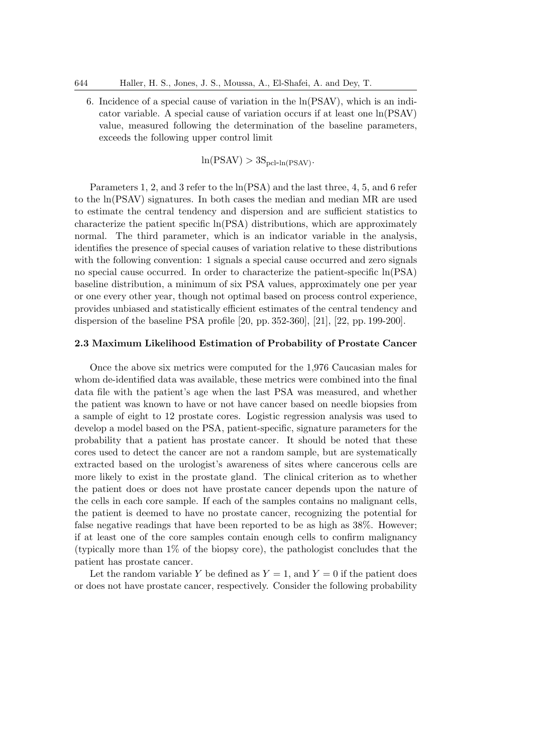6. Incidence of a special cause of variation in the ln(PSAV), which is an indicator variable. A special cause of variation occurs if at least one ln(PSAV) value, measured following the determination of the baseline parameters, exceeds the following upper control limit

 $ln(PSAV) > 3S_{\text{pc}-ln(PSAV)}$ .

Parameters 1, 2, and 3 refer to the ln(PSA) and the last three, 4, 5, and 6 refer to the ln(PSAV) signatures. In both cases the median and median MR are used to estimate the central tendency and dispersion and are sufficient statistics to characterize the patient specific ln(PSA) distributions, which are approximately normal. The third parameter, which is an indicator variable in the analysis, identifies the presence of special causes of variation relative to these distributions with the following convention: 1 signals a special cause occurred and zero signals no special cause occurred. In order to characterize the patient-specific ln(PSA) baseline distribution, a minimum of six PSA values, approximately one per year or one every other year, though not optimal based on process control experience, provides unbiased and statistically efficient estimates of the central tendency and dispersion of the baseline PSA profile [20, pp. 352-360], [21], [22, pp. 199-200].

### 2.3 Maximum Likelihood Estimation of Probability of Prostate Cancer

Once the above six metrics were computed for the 1,976 Caucasian males for whom de-identified data was available, these metrics were combined into the final data file with the patient's age when the last PSA was measured, and whether the patient was known to have or not have cancer based on needle biopsies from a sample of eight to 12 prostate cores. Logistic regression analysis was used to develop a model based on the PSA, patient-specific, signature parameters for the probability that a patient has prostate cancer. It should be noted that these cores used to detect the cancer are not a random sample, but are systematically extracted based on the urologist's awareness of sites where cancerous cells are more likely to exist in the prostate gland. The clinical criterion as to whether the patient does or does not have prostate cancer depends upon the nature of the cells in each core sample. If each of the samples contains no malignant cells, the patient is deemed to have no prostate cancer, recognizing the potential for false negative readings that have been reported to be as high as 38%. However; if at least one of the core samples contain enough cells to confirm malignancy (typically more than 1% of the biopsy core), the pathologist concludes that the patient has prostate cancer.

Let the random variable Y be defined as  $Y = 1$ , and  $Y = 0$  if the patient does or does not have prostate cancer, respectively. Consider the following probability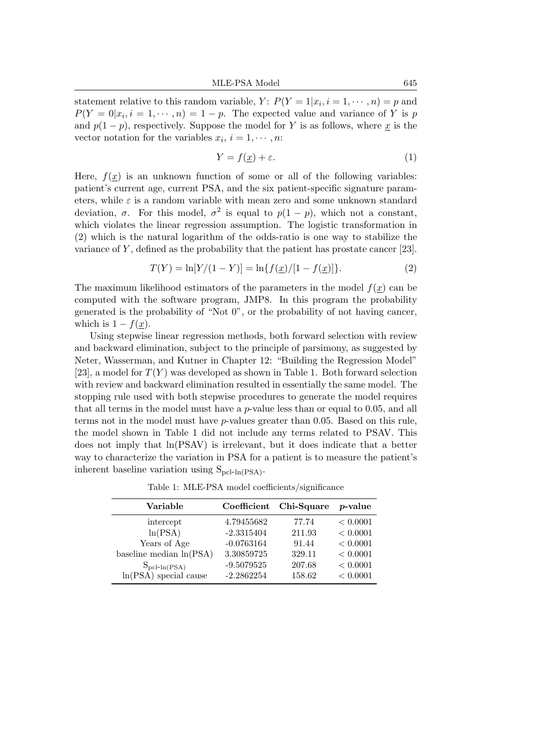statement relative to this random variable,  $Y: P(Y = 1 | x_i, i = 1, \dots, n) = p$  and  $P(Y=0|x_i, i=1,\dots, n) = 1-p$ . The expected value and variance of Y is p and  $p(1-p)$ , respectively. Suppose the model for Y is as follows, where x is the vector notation for the variables  $x_i$ ,  $i = 1, \dots, n$ :

$$
Y = f(\underline{x}) + \varepsilon. \tag{1}
$$

Here,  $f(x)$  is an unknown function of some or all of the following variables: patient's current age, current PSA, and the six patient-specific signature parameters, while  $\varepsilon$  is a random variable with mean zero and some unknown standard deviation,  $\sigma$ . For this model,  $\sigma^2$  is equal to  $p(1-p)$ , which not a constant, which violates the linear regression assumption. The logistic transformation in (2) which is the natural logarithm of the odds-ratio is one way to stabilize the variance of  $Y$ , defined as the probability that the patient has prostate cancer [23].

$$
T(Y) = \ln[Y/(1 - Y)] = \ln\{f(\underline{x})/[1 - f(\underline{x})]\}.
$$
 (2)

The maximum likelihood estimators of the parameters in the model  $f(x)$  can be computed with the software program, JMP8. In this program the probability generated is the probability of "Not 0", or the probability of not having cancer, which is  $1 - f(\underline{x})$ .

Using stepwise linear regression methods, both forward selection with review and backward elimination, subject to the principle of parsimony, as suggested by Neter, Wasserman, and Kutner in Chapter 12: "Building the Regression Model" [23], a model for  $T(Y)$  was developed as shown in Table 1. Both forward selection with review and backward elimination resulted in essentially the same model. The stopping rule used with both stepwise procedures to generate the model requires that all terms in the model must have a  $p$ -value less than or equal to 0.05, and all terms not in the model must have p-values greater than 0.05. Based on this rule, the model shown in Table 1 did not include any terms related to PSAV. This does not imply that ln(PSAV) is irrelevant, but it does indicate that a better way to characterize the variation in PSA for a patient is to measure the patient's inherent baseline variation using  $S_{\text{pcl-In(PSA)}}$ .

Table 1: MLE-PSA model coefficients/significance

| Variable                  | Coefficient  | Chi-Square | <i>p</i> -value |
|---------------------------|--------------|------------|-----------------|
| intercept                 | 4.79455682   | 77.74      | < 0.0001        |
| ln(PSA)                   | $-2.3315404$ | 211.93     | < 0.0001        |
| Years of Age              | $-0.0763164$ | 91.44      | < 0.0001        |
| baseline median $ln(PSA)$ | 3.30859725   | 329.11     | < 0.0001        |
| $S_{\rm pcl-In(PSA)}$     | $-9.5079525$ | 207.68     | < 0.0001        |
| $ln(PSA)$ special cause   | $-2.2862254$ | 158.62     | < 0.0001        |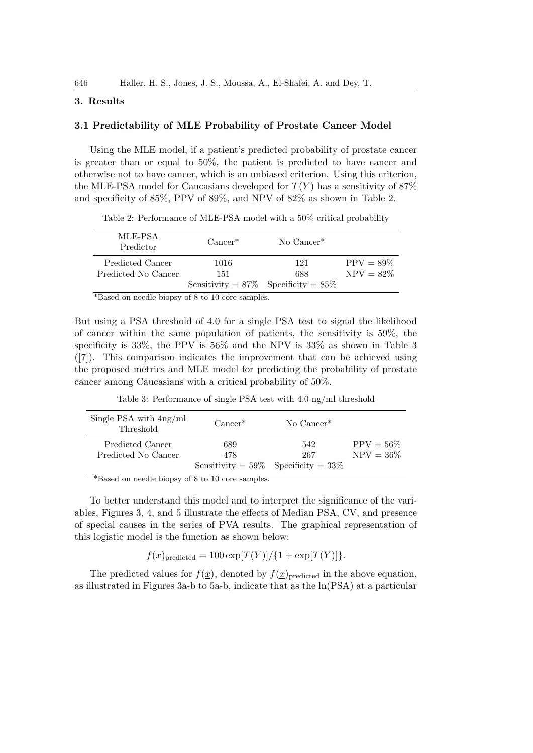# 3. Results

## 3.1 Predictability of MLE Probability of Prostate Cancer Model

Using the MLE model, if a patient's predicted probability of prostate cancer is greater than or equal to 50%, the patient is predicted to have cancer and otherwise not to have cancer, which is an unbiased criterion. Using this criterion, the MLE-PSA model for Caucasians developed for  $T(Y)$  has a sensitivity of 87% and specificity of 85%, PPV of 89%, and NPV of 82% as shown in Table 2.

Table 2: Performance of MLE-PSA model with a 50% critical probability

| MLE-PSA<br>Predictor | $Cancer^*$                                | No Cancer <sup>*</sup> |              |
|----------------------|-------------------------------------------|------------------------|--------------|
| Predicted Cancer     | 1016                                      | 121                    | $PPV = 89\%$ |
| Predicted No Cancer  | 151                                       | 688                    | $NPV = 82\%$ |
|                      | Sensitivity = $87\%$ Specificity = $85\%$ |                        |              |
| and a second<br>.    |                                           |                        |              |

\*Based on needle biopsy of 8 to 10 core samples.

But using a PSA threshold of 4.0 for a single PSA test to signal the likelihood of cancer within the same population of patients, the sensitivity is 59%, the specificity is 33%, the PPV is 56% and the NPV is 33% as shown in Table 3 ([7]). This comparison indicates the improvement that can be achieved using the proposed metrics and MLE model for predicting the probability of prostate cancer among Caucasians with a critical probability of 50%.

Table 3: Performance of single PSA test with 4.0 ng/ml threshold

| Single PSA with $4ng/ml$<br>Threshold | $Cancer^*$                                | No Cancer <sup>*</sup> |              |
|---------------------------------------|-------------------------------------------|------------------------|--------------|
| Predicted Cancer                      | 689                                       | 542                    | $PPV = 56\%$ |
| Predicted No Cancer                   | 478                                       | 267                    | $NPV = 36\%$ |
|                                       | Sensitivity = $59\%$ Specificity = $33\%$ |                        |              |

\*Based on needle biopsy of 8 to 10 core samples.

To better understand this model and to interpret the significance of the variables, Figures 3, 4, and 5 illustrate the effects of Median PSA, CV, and presence of special causes in the series of PVA results. The graphical representation of this logistic model is the function as shown below:

 $f(\underline{x})_{\text{predicted}} = 100 \exp[T(Y)]/\{1 + \exp[T(Y)]\}.$ 

The predicted values for  $f(\underline{x})$ , denoted by  $f(\underline{x})_{\text{predicted}}$  in the above equation, as illustrated in Figures 3a-b to 5a-b, indicate that as the ln(PSA) at a particular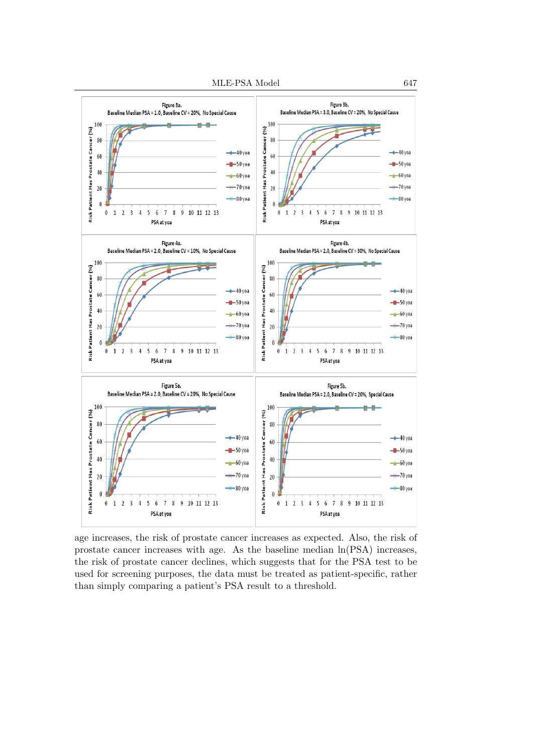

prostate cancer increases with age. As the baseline median  $ln(PSA)$  increases, the risk of prostate cancer declines, which suggests that for the PSA test to be than simply comparing a patient's PSA result to a threshold. age increases, the risk of prostate cancer increases as expected. Also, the risk of used for screening purposes, the data must be treated as patient-specific, rather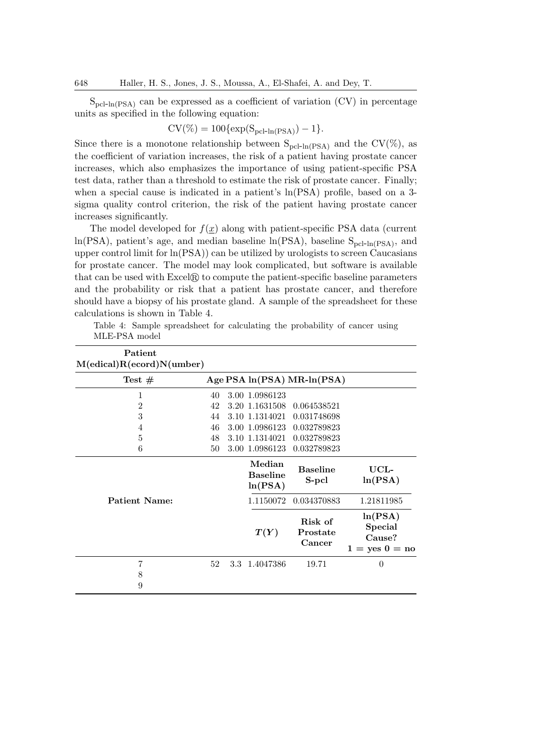$S_{\text{pcl-In(PSA)}}$  can be expressed as a coefficient of variation (CV) in percentage units as specified in the following equation:

$$
CV(\%)=100\{\exp(S_{\rm pcl-In(PSA)})-1\}.
$$

Since there is a monotone relationship between  $S_{\text{pcl-h(PSA)}}$  and the CV(%), as the coefficient of variation increases, the risk of a patient having prostate cancer increases, which also emphasizes the importance of using patient-specific PSA test data, rather than a threshold to estimate the risk of prostate cancer. Finally; when a special cause is indicated in a patient's  $ln(PSA)$  profile, based on a 3sigma quality control criterion, the risk of the patient having prostate cancer increases significantly.

The model developed for  $f(x)$  along with patient-specific PSA data (current  $ln(PSA)$ , patient's age, and median baseline  $ln(PSA)$ , baseline  $S_{pcl-In(PSA)}$ , and upper control limit for  $\ln(PSA)$  can be utilized by urologists to screen Caucasians for prostate cancer. The model may look complicated, but software is available that can be used with  $\text{Excel}(\mathbb{R})$  to compute the patient-specific baseline parameters and the probability or risk that a patient has prostate cancer, and therefore should have a biopsy of his prostate gland. A sample of the spreadsheet for these calculations is shown in Table 4.

Table 4: Sample spreadsheet for calculating the probability of cancer using MLE-PSA model

| Patient<br>M(edical)R(ecord)N(umber) |          |                  |                                  |                                |                                                           |
|--------------------------------------|----------|------------------|----------------------------------|--------------------------------|-----------------------------------------------------------|
| Test $#$                             |          |                  |                                  | Age PSA $ln(PSA) MR-In(PSA)$   |                                                           |
| 1<br>$\overline{2}$                  | 40<br>42 |                  | 3.00 1.0986123<br>3.20 1.1631508 | 0.064538521                    |                                                           |
| 3                                    | 44       |                  | 3.10 1.1314021                   | 0.031748698                    |                                                           |
| 4<br>5                               | 46<br>48 |                  | 3.00 1.0986123<br>3.10 1.1314021 | 0.032789823<br>0.032789823     |                                                           |
| 6                                    | 50       |                  | 3.00 1.0986123<br>Median         | 0.032789823<br><b>Baseline</b> | UCL-                                                      |
|                                      |          |                  | <b>Baseline</b><br>ln(PSA)       | S-pcl                          | ln(PSA)                                                   |
| Patient Name:                        |          |                  | 1.1150072                        | 0.034370883                    | 1.21811985                                                |
|                                      |          |                  | T(Y)                             | Risk of<br>Prostate<br>Cancer  | ln(PSA)<br><b>Special</b><br>Cause?<br>$1 = yes \ 0 = no$ |
| 7                                    | 52       | 3.3 <sub>z</sub> | 1.4047386                        | 19.71                          | $\Omega$                                                  |
| 8<br>9                               |          |                  |                                  |                                |                                                           |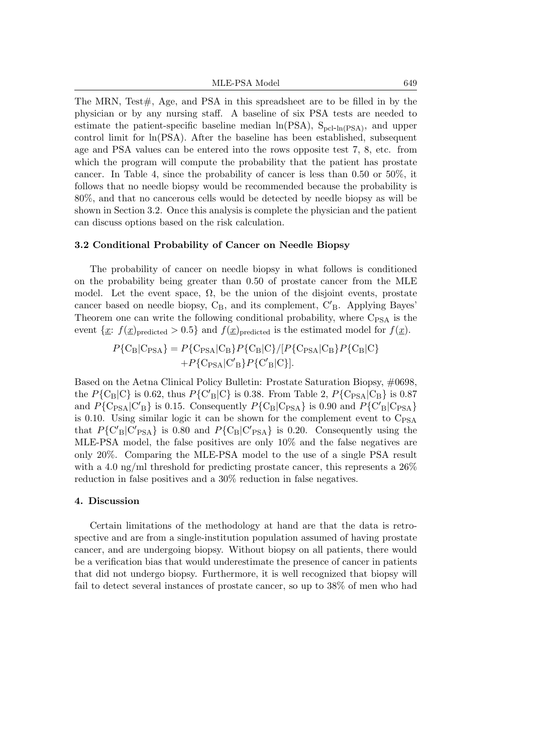The MRN, Test $\#$ , Age, and PSA in this spreadsheet are to be filled in by the physician or by any nursing staff. A baseline of six PSA tests are needed to estimate the patient-specific baseline median  $ln(PSA)$ ,  $S_{pcl-ln(PSA)}$ , and upper control limit for ln(PSA). After the baseline has been established, subsequent age and PSA values can be entered into the rows opposite test 7, 8, etc. from which the program will compute the probability that the patient has prostate cancer. In Table 4, since the probability of cancer is less than 0.50 or 50%, it follows that no needle biopsy would be recommended because the probability is 80%, and that no cancerous cells would be detected by needle biopsy as will be shown in Section 3.2. Once this analysis is complete the physician and the patient can discuss options based on the risk calculation.

#### 3.2 Conditional Probability of Cancer on Needle Biopsy

The probability of cancer on needle biopsy in what follows is conditioned on the probability being greater than 0.50 of prostate cancer from the MLE model. Let the event space,  $\Omega$ , be the union of the disjoint events, prostate cancer based on needle biopsy,  $C_B$ , and its complement,  $C'_B$ . Applying Bayes' Theorem one can write the following conditional probability, where  $C_{PSA}$  is the event  $\{\underline{x}: f(\underline{x})_{\text{predicted}} > 0.5\}$  and  $f(\underline{x})_{\text{predicted}}$  is the estimated model for  $f(\underline{x})$ .

$$
P\{C_{\rm B}|C_{\rm PSA}\} = P\{C_{\rm PSA}|C_{\rm B}\}P\{C_{\rm B}|C\}/[P\{C_{\rm PSA}|C_{\rm B}\}P\{C_{\rm B}|C\} + P\{C_{\rm PSA}|C'\rm_B\}P\{C'\rm_B|C\}].
$$

Based on the Aetna Clinical Policy Bulletin: Prostate Saturation Biopsy, #0698, the  $P{C_B|C}$  is 0.62, thus  $P{C'_B|C}$  is 0.38. From Table 2,  $P{C_{PSA}|C_B}$  is 0.87 and  $P{C_{PSA} | C'_B}$  is 0.15. Consequently  $P{C_B | C_{PSA}}$  is 0.90 and  $P{C'_B | C_{PSA}}$ is 0.10. Using similar logic it can be shown for the complement event to  $C_{PSA}$ that  $P{C'_{B}|C'_{PSA}}$  is 0.80 and  $P{C_{B}|C'_{PSA}}$  is 0.20. Consequently using the MLE-PSA model, the false positives are only 10% and the false negatives are only 20%. Comparing the MLE-PSA model to the use of a single PSA result with a 4.0 ng/ml threshold for predicting prostate cancer, this represents a  $26\%$ reduction in false positives and a 30% reduction in false negatives.

#### 4. Discussion

Certain limitations of the methodology at hand are that the data is retrospective and are from a single-institution population assumed of having prostate cancer, and are undergoing biopsy. Without biopsy on all patients, there would be a verification bias that would underestimate the presence of cancer in patients that did not undergo biopsy. Furthermore, it is well recognized that biopsy will fail to detect several instances of prostate cancer, so up to 38% of men who had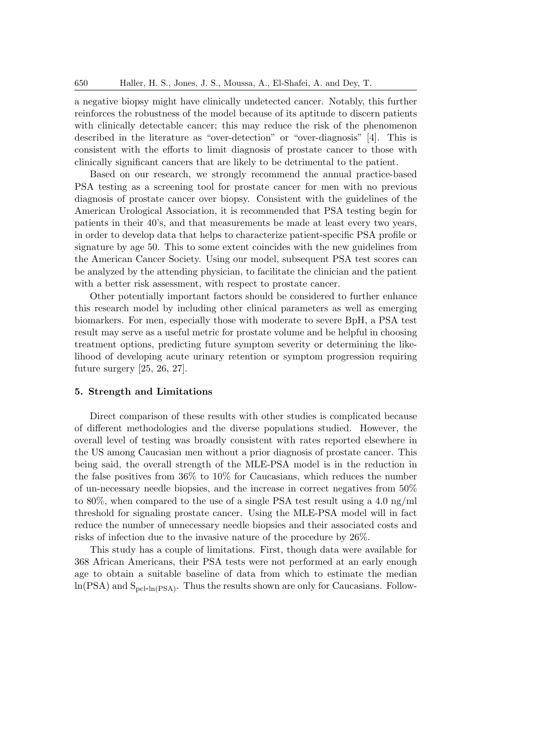a negative biopsy might have clinically undetected cancer. Notably, this further reinforces the robustness of the model because of its aptitude to discern patients with clinically detectable cancer; this may reduce the risk of the phenomenon described in the literature as "over-detection" or "over-diagnosis" [4]. This is consistent with the efforts to limit diagnosis of prostate cancer to those with clinically significant cancers that are likely to be detrimental to the patient.

Based on our research, we strongly recommend the annual practice-based PSA testing as a screening tool for prostate cancer for men with no previous diagnosis of prostate cancer over biopsy. Consistent with the guidelines of the American Urological Association, it is recommended that PSA testing begin for patients in their 40's, and that measurements be made at least every two years, in order to develop data that helps to characterize patient-specific PSA profile or signature by age 50. This to some extent coincides with the new guidelines from the American Cancer Society. Using our model, subsequent PSA test scores can be analyzed by the attending physician, to facilitate the clinician and the patient with a better risk assessment, with respect to prostate cancer.

Other potentially important factors should be considered to further enhance this research model by including other clinical parameters as well as emerging biomarkers. For men, especially those with moderate to severe BpH, a PSA test result may serve as a useful metric for prostate volume and be helpful in choosing treatment options, predicting future symptom severity or determining the likelihood of developing acute urinary retention or symptom progression requiring future surgery [25, 26, 27].

### 5. Strength and Limitations

Direct comparison of these results with other studies is complicated because of different methodologies and the diverse populations studied. However, the overall level of testing was broadly consistent with rates reported elsewhere in the US among Caucasian men without a prior diagnosis of prostate cancer. This being said, the overall strength of the MLE-PSA model is in the reduction in the false positives from 36% to 10% for Caucasians, which reduces the number of un-necessary needle biopsies, and the increase in correct negatives from 50% to 80%, when compared to the use of a single PSA test result using a 4.0 ng/ml threshold for signaling prostate cancer. Using the MLE-PSA model will in fact reduce the number of unnecessary needle biopsies and their associated costs and risks of infection due to the invasive nature of the procedure by 26%.

This study has a couple of limitations. First, though data were available for 368 African Americans, their PSA tests were not performed at an early enough age to obtain a suitable baseline of data from which to estimate the median  $ln(PSA)$  and  $S_{\text{pcl-In(PSA)}}$ . Thus the results shown are only for Caucasians. Follow-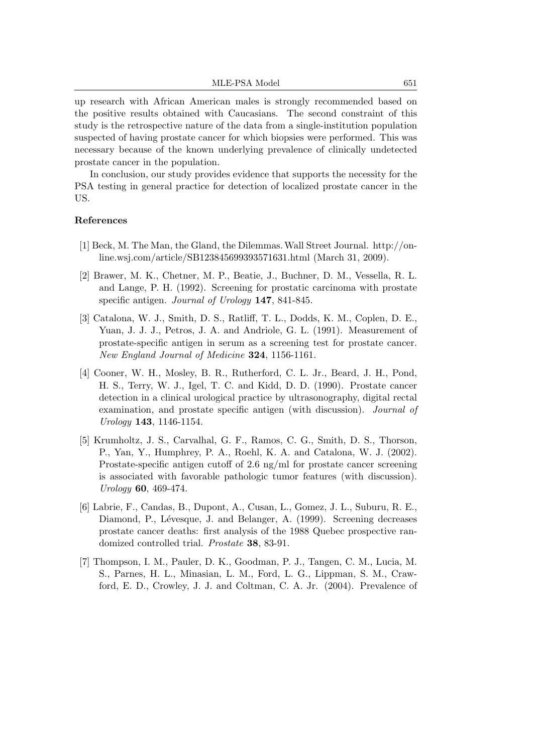up research with African American males is strongly recommended based on the positive results obtained with Caucasians. The second constraint of this study is the retrospective nature of the data from a single-institution population suspected of having prostate cancer for which biopsies were performed. This was necessary because of the known underlying prevalence of clinically undetected prostate cancer in the population.

In conclusion, our study provides evidence that supports the necessity for the PSA testing in general practice for detection of localized prostate cancer in the US.

## References

- [1] Beck, M. The Man, the Gland, the Dilemmas.Wall Street Journal. http://online.wsj.com/article/SB123845699393571631.html (March 31, 2009).
- [2] Brawer, M. K., Chetner, M. P., Beatie, J., Buchner, D. M., Vessella, R. L. and Lange, P. H. (1992). Screening for prostatic carcinoma with prostate specific antigen. Journal of Urology 147, 841-845.
- [3] Catalona, W. J., Smith, D. S., Ratliff, T. L., Dodds, K. M., Coplen, D. E., Yuan, J. J. J., Petros, J. A. and Andriole, G. L. (1991). Measurement of prostate-specific antigen in serum as a screening test for prostate cancer. New England Journal of Medicine 324, 1156-1161.
- [4] Cooner, W. H., Mosley, B. R., Rutherford, C. L. Jr., Beard, J. H., Pond, H. S., Terry, W. J., Igel, T. C. and Kidd, D. D. (1990). Prostate cancer detection in a clinical urological practice by ultrasonography, digital rectal examination, and prostate specific antigen (with discussion). Journal of Urology 143, 1146-1154.
- [5] Krumholtz, J. S., Carvalhal, G. F., Ramos, C. G., Smith, D. S., Thorson, P., Yan, Y., Humphrey, P. A., Roehl, K. A. and Catalona, W. J. (2002). Prostate-specific antigen cutoff of 2.6 ng/ml for prostate cancer screening is associated with favorable pathologic tumor features (with discussion). Urology 60, 469-474.
- [6] Labrie, F., Candas, B., Dupont, A., Cusan, L., Gomez, J. L., Suburu, R. E., Diamond, P., Lévesque, J. and Belanger, A. (1999). Screening decreases prostate cancer deaths: first analysis of the 1988 Quebec prospective randomized controlled trial. Prostate 38, 83-91.
- [7] Thompson, I. M., Pauler, D. K., Goodman, P. J., Tangen, C. M., Lucia, M. S., Parnes, H. L., Minasian, L. M., Ford, L. G., Lippman, S. M., Crawford, E. D., Crowley, J. J. and Coltman, C. A. Jr. (2004). Prevalence of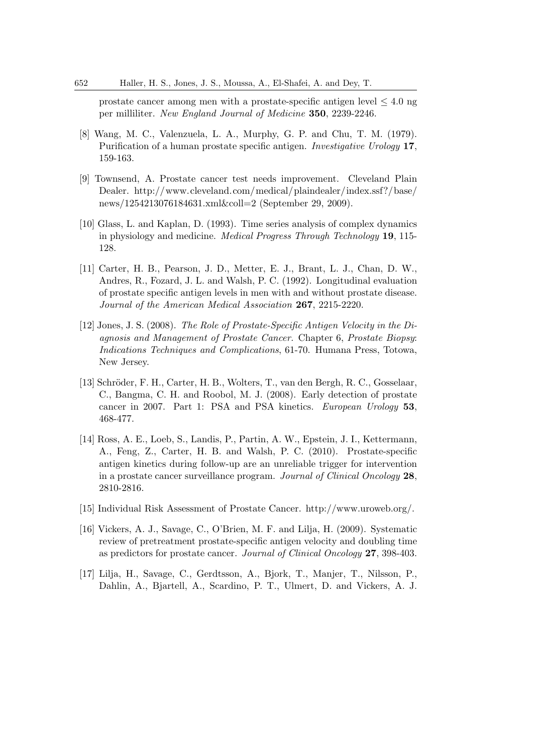prostate cancer among men with a prostate-specific antigen level  $\leq 4.0$  ng per milliliter. New England Journal of Medicine 350, 2239-2246.

- [8] Wang, M. C., Valenzuela, L. A., Murphy, G. P. and Chu, T. M. (1979). Purification of a human prostate specific antigen. Investigative Urology 17, 159-163.
- [9] Townsend, A. Prostate cancer test needs improvement. Cleveland Plain Dealer. http://www.cleveland.com/medical/plaindealer/index.ssf?/base/ news/1254213076184631.xml&coll=2 (September 29, 2009).
- [10] Glass, L. and Kaplan, D. (1993). Time series analysis of complex dynamics in physiology and medicine. Medical Progress Through Technology 19, 115- 128.
- [11] Carter, H. B., Pearson, J. D., Metter, E. J., Brant, L. J., Chan, D. W., Andres, R., Fozard, J. L. and Walsh, P. C. (1992). Longitudinal evaluation of prostate specific antigen levels in men with and without prostate disease. Journal of the American Medical Association 267, 2215-2220.
- [12] Jones, J. S. (2008). The Role of Prostate-Specific Antigen Velocity in the Diagnosis and Management of Prostate Cancer. Chapter 6, Prostate Biopsy: Indications Techniques and Complications, 61-70. Humana Press, Totowa, New Jersey.
- [13] Schröder, F. H., Carter, H. B., Wolters, T., van den Bergh, R. C., Gosselaar, C., Bangma, C. H. and Roobol, M. J. (2008). Early detection of prostate cancer in 2007. Part 1: PSA and PSA kinetics. European Urology 53. 468-477.
- [14] Ross, A. E., Loeb, S., Landis, P., Partin, A. W., Epstein, J. I., Kettermann, A., Feng, Z., Carter, H. B. and Walsh, P. C. (2010). Prostate-specific antigen kinetics during follow-up are an unreliable trigger for intervention in a prostate cancer surveillance program. Journal of Clinical Oncology 28, 2810-2816.
- [15] Individual Risk Assessment of Prostate Cancer. http://www.uroweb.org/.
- [16] Vickers, A. J., Savage, C., O'Brien, M. F. and Lilja, H. (2009). Systematic review of pretreatment prostate-specific antigen velocity and doubling time as predictors for prostate cancer. Journal of Clinical Oncology 27, 398-403.
- [17] Lilja, H., Savage, C., Gerdtsson, A., Bjork, T., Manjer, T., Nilsson, P., Dahlin, A., Bjartell, A., Scardino, P. T., Ulmert, D. and Vickers, A. J.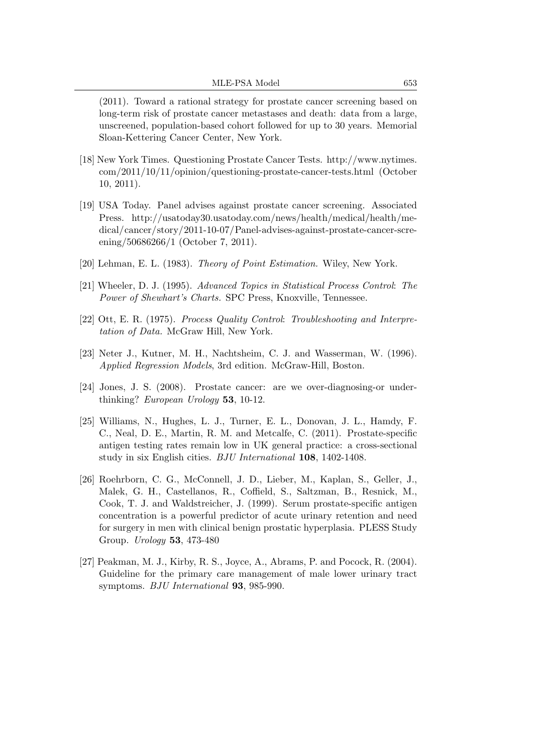(2011). Toward a rational strategy for prostate cancer screening based on long-term risk of prostate cancer metastases and death: data from a large, unscreened, population-based cohort followed for up to 30 years. Memorial Sloan-Kettering Cancer Center, New York.

- [18] New York Times. Questioning Prostate Cancer Tests. http://www.nytimes. com/2011/10/11/opinion/questioning-prostate-cancer-tests.html (October 10, 2011).
- [19] USA Today. Panel advises against prostate cancer screening. Associated Press. http://usatoday30.usatoday.com/news/health/medical/health/medical/cancer/story/2011-10-07/Panel-advises-against-prostate-cancer-screening/50686266/1 (October 7, 2011).
- [20] Lehman, E. L. (1983). Theory of Point Estimation. Wiley, New York.
- [21] Wheeler, D. J. (1995). Advanced Topics in Statistical Process Control: The Power of Shewhart's Charts. SPC Press, Knoxville, Tennessee.
- [22] Ott, E. R. (1975). Process Quality Control: Troubleshooting and Interpretation of Data. McGraw Hill, New York.
- [23] Neter J., Kutner, M. H., Nachtsheim, C. J. and Wasserman, W. (1996). Applied Regression Models, 3rd edition. McGraw-Hill, Boston.
- [24] Jones, J. S. (2008). Prostate cancer: are we over-diagnosing-or underthinking? European Urology 53, 10-12.
- [25] Williams, N., Hughes, L. J., Turner, E. L., Donovan, J. L., Hamdy, F. C., Neal, D. E., Martin, R. M. and Metcalfe, C. (2011). Prostate-specific antigen testing rates remain low in UK general practice: a cross-sectional study in six English cities. BJU International 108, 1402-1408.
- [26] Roehrborn, C. G., McConnell, J. D., Lieber, M., Kaplan, S., Geller, J., Malek, G. H., Castellanos, R., Coffield, S., Saltzman, B., Resnick, M., Cook, T. J. and Waldstreicher, J. (1999). Serum prostate-specific antigen concentration is a powerful predictor of acute urinary retention and need for surgery in men with clinical benign prostatic hyperplasia. PLESS Study Group. Urology 53, 473-480
- [27] Peakman, M. J., Kirby, R. S., Joyce, A., Abrams, P. and Pocock, R. (2004). Guideline for the primary care management of male lower urinary tract symptoms. BJU International 93, 985-990.